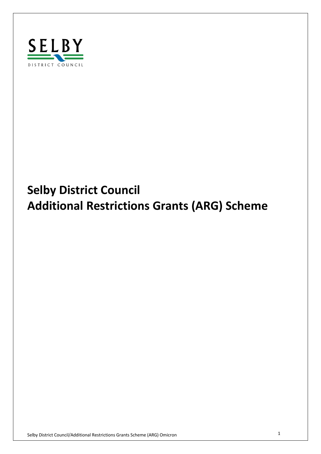

# **Additional Restrictions Grants (ARG) Scheme Selby District Council**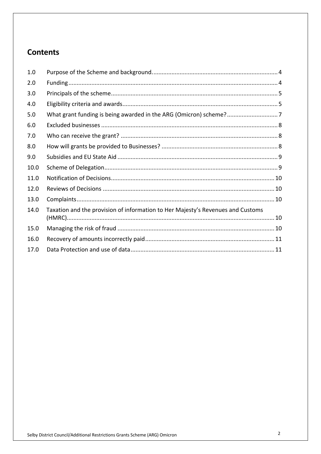## **Contents**

| 1.0  |                                                                                 |  |
|------|---------------------------------------------------------------------------------|--|
| 2.0  |                                                                                 |  |
| 3.0  |                                                                                 |  |
| 4.0  |                                                                                 |  |
| 5.0  |                                                                                 |  |
| 6.0  |                                                                                 |  |
| 7.0  |                                                                                 |  |
| 8.0  |                                                                                 |  |
| 9.0  |                                                                                 |  |
| 10.0 |                                                                                 |  |
| 11.0 |                                                                                 |  |
| 12.0 |                                                                                 |  |
| 13.0 |                                                                                 |  |
| 14.0 | Taxation and the provision of information to Her Majesty's Revenues and Customs |  |
| 15.0 |                                                                                 |  |
| 16.0 |                                                                                 |  |
| 17.0 |                                                                                 |  |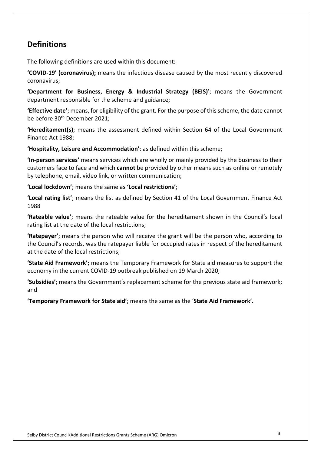## **Definitions**

The following definitions are used within this document:

 **'COVID-19' (coronavirus);** means the infectious disease caused by the most recently discovered coronavirus;

 **'Department for Business, Energy & Industrial Strategy (BEIS)**'; means the Government department responsible for the scheme and guidance;

 **'Effective date'**; means, for eligibility of the grant. For the purpose of this scheme, the date cannot be before 30<sup>th</sup> December 2021;

 **'Hereditament(s)**; means the assessment defined within Section 64 of the Local Government Finance Act 1988;

 **'Hospitality, Leisure and Accommodation'**: as defined within this scheme;

 **'In-person services'** means services which are wholly or mainly provided by the business to their customers face to face and which **cannot** be provided by other means such as online or remotely by telephone, email, video link, or written communication;

**'Local lockdown'**; means the same as **'Local restrictions'**;

 **'Local rating list'**; means the list as defined by Section 41 of the Local Government Finance Act 1988

 **'Rateable value'**; means the rateable value for the hereditament shown in the Council's local rating list at the date of the local restrictions;

 **'Ratepayer'**; means the person who will receive the grant will be the person who, according to the Council's records, was the ratepayer liable for occupied rates in respect of the hereditament at the date of the local restrictions;

 **'State Aid Framework';** means the Temporary Framework for State aid measures to support the economy in the current COVID-19 outbreak published on 19 March 2020;

 **'Subsidies'**; means the Government's replacement scheme for the previous state aid framework; and

 **'Temporary Framework for State aid'**; means the same as the '**State Aid Framework'.**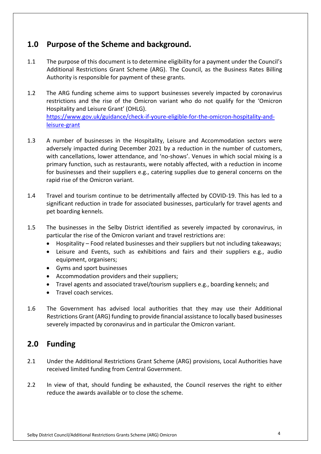## **1.0 Purpose of the Scheme and background.**

- $1.1$  Additional Restrictions Grant Scheme (ARG). The Council, as the Business Rates Billing Authority is responsible for payment of these grants. The purpose of this document is to determine eligibility for a payment under the Council's
- $1.2$  restrictions and the rise of the Omicron variant who do not qualify for the 'Omicron Hospitality and Leisure Grant' (OHLG). leisure-grant The ARG funding scheme aims to support businesses severely impacted by coronavirus [https://www.gov.uk/guidance/check-if-youre-eligible-for-the-omicron-hospitality-and-](https://www.gov.uk/guidance/check-if-youre-eligible-for-the-omicron-hospitality-and)
- $1.3$  adversely impacted during December 2021 by a reduction in the number of customers, with cancellations, lower attendance, and 'no-shows'. Venues in which social mixing is a primary function, such as restaurants, were notably affected, with a reduction in income for businesses and their suppliers e.g., catering supplies due to general concerns on the rapid rise of the Omicron variant. A number of businesses in the Hospitality, Leisure and Accommodation sectors were
- $1.4$  significant reduction in trade for associated businesses, particularly for travel agents and pet boarding kennels. Travel and tourism continue to be detrimentally affected by COVID-19. This has led to a
- $1.5$  particular the rise of the Omicron variant and travel restrictions are: The businesses in the Selby District identified as severely impacted by coronavirus, in
	- Hospitality Food related businesses and their suppliers but not including takeaways;
	- • Leisure and Events, such as exhibitions and fairs and their suppliers e.g., audio equipment, organisers;
	- Gyms and sport businesses
	- Accommodation providers and their suppliers;
	- Travel agents and associated travel/tourism suppliers e.g., boarding kennels; and
	- Travel coach services.
- $1.6$  Restrictions Grant (ARG) funding to provide financial assistance to locally based businesses severely impacted by coronavirus and in particular the Omicron variant. The Government has advised local authorities that they may use their Additional

# **2.0 Funding**

- $2.1$  received limited funding from Central Government. 2.1 Under the Additional Restrictions Grant Scheme (ARG) provisions, Local Authorities have
- $2.2$  reduce the awards available or to close the scheme. In view of that, should funding be exhausted, the Council reserves the right to either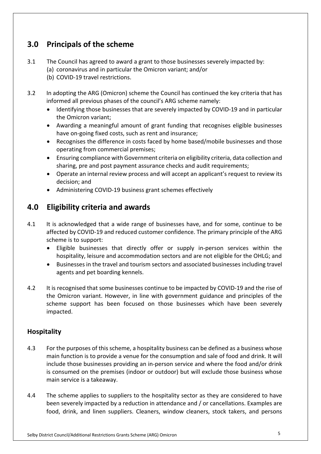# **3.0 Principals of the scheme**

- $3.1$ The Council has agreed to award a grant to those businesses severely impacted by:
	- (a) coronavirus and in particular the Omicron variant; and/or
	- (b) COVID-19 travel restrictions.
- $3.2$  informed all previous phases of the council's ARG scheme namely: In adopting the ARG (Omicron) scheme the Council has continued the key criteria that has
	- • Identifying those businesses that are severely impacted by COVID-19 and in particular the Omicron variant;
	- • Awarding a meaningful amount of grant funding that recognises eligible businesses have on-going fixed costs, such as rent and insurance;
	- • Recognises the difference in costs faced by home based/mobile businesses and those operating from commercial premises;
	- • Ensuring compliance with Government criteria on eligibility criteria, data collection and sharing, pre and post payment assurance checks and audit requirements;
	- • Operate an internal review process and will accept an applicant's request to review its decision; and
	- Administering COVID-19 business grant schemes effectively

# **4.0 Eligibility criteria and awards**

- $4.1$  affected by COVID-19 and reduced customer confidence. The primary principle of the ARG scheme is to support: It is acknowledged that a wide range of businesses have, and for some, continue to be
	- • Eligible businesses that directly offer or supply in-person services within the hospitality, leisure and accommodation sectors and are not eligible for the OHLG; and
	- • Businesses in the travel and tourism sectors and associated businesses including travel agents and pet boarding kennels.
- the Omicron variant. However, in line with government guidance and principles of the scheme support has been focused on those businesses which have been severely impacted. 4.2 It is recognised that some businesses continue to be impacted by COVID-19 and the rise of

#### **Hospitality**

- include those businesses providing an in-person service and where the food and/or drink is consumed on the premises (indoor or outdoor) but will exclude those business whose main service is a takeaway. 4.3 For the purposes of this scheme, a hospitality business can be defined as a business whose main function is to provide a venue for the consumption and sale of food and drink. It will
- been severely impacted by a reduction in attendance and / or cancellations. Examples are food, drink, and linen suppliers. Cleaners, window cleaners, stock takers, and persons 4.4 The scheme applies to suppliers to the hospitality sector as they are considered to have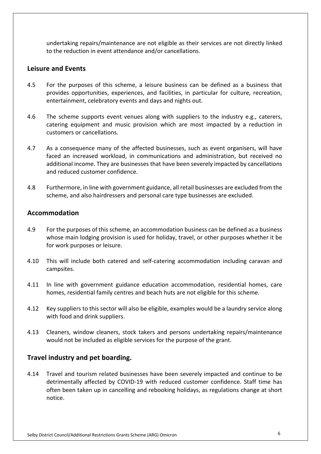undertaking repairs/maintenance are not eligible as their services are not directly linked to the reduction in event attendance and/or cancellations.

#### **Leisure and Events**

- provides opportunities, experiences, and facilities, in particular for culture, recreation, entertainment, celebratory events and days and nights out. 4.5 For the purposes of this scheme, a leisure business can be defined as a business that
- catering equipment and music provision which are most impacted by a reduction in customers or cancellations. 4.6 The scheme supports event venues along with suppliers to the industry e.g., caterers,
- $4.7$  faced an increased workload, in communications and administration, but received no additional income. They are businesses that have been severely impacted by cancellations and reduced customer confidence. As a consequence many of the affected businesses, such as event organisers, will have
- 4.8 Furthermore, in line with government guidance, all retail businesses are excluded from the scheme, and also hairdressers and personal care type businesses are excluded.

#### **Accommodation**

- 4.9 whose main lodging provision is used for holiday, travel, or other purposes whether it be 4.9 For the purposes of this scheme, an accommodation business can be defined as a business for work purposes or leisure.
- 4.10 campsites. This will include both catered and self-catering accommodation including caravan and
- $4.11$  homes, residential family centres and beach huts are not eligible for this scheme. In line with government guidance education accommodation, residential homes, care
- 4.12 with food and drink suppliers. Key suppliers to this sector will also be eligible, examples would be a laundry service along
- $4.13$  would not be included as eligible services for the purpose of the grant. 4.13 Cleaners, window cleaners, stock takers and persons undertaking repairs/maintenance

#### **Travel industry and pet boarding.**

 $4.14$  detrimentally affected by COVID-19 with reduced customer confidence. Staff time has often been taken up in cancelling and rebooking holidays, as regulations change at short notice. Travel and tourism related businesses have been severely impacted and continue to be notice.<br>Selby District Council/Additional Restrictions Grants Scheme (ARG) Omicron 6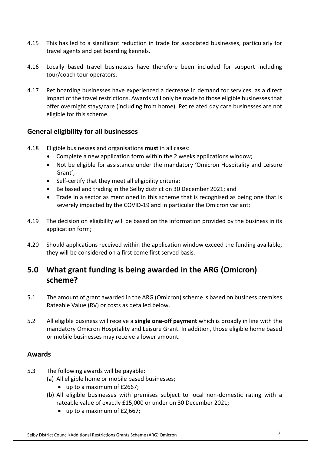- 4.15 travel agents and pet boarding kennels. 4.15 This has led to a significant reduction in trade for associated businesses, particularly for
- 4.16 tour/coach tour operators. Locally based travel businesses have therefore been included for support including
- 4.17 Pet boarding businesses have experienced a decrease in demand for services, as a direct impact of the travel restrictions. Awards will only be made to those eligible businesses that offer overnight stays/care (including from home). Pet related day care businesses are not eligible for this scheme.

#### **General eligibility for all businesses**

- 4.18 4.18 Eligible businesses and organisations **must** in all cases:
	- Complete a new application form within the 2 weeks applications window;
	- • Not be eligible for assistance under the mandatory 'Omicron Hospitality and Leisure Grant';
	- Self-certify that they meet all eligibility criteria;
	- Be based and trading in the Selby district on 30 December 2021; and
	- • Trade in a sector as mentioned in this scheme that is recognised as being one that is severely impacted by the COVID-19 and in particular the Omicron variant;
- 4.19 application form; The decision on eligibility will be based on the information provided by the business in its
- 4.20 they will be considered on a first come first served basis. Should applications received within the application window exceed the funding available,

## **5.0 What grant funding is being awarded in the ARG (Omicron) scheme?**

- $5.1$  Rateable Value (RV) or costs as detailed below. The amount of grant awarded in the ARG (Omicron) scheme is based on business premises
- 5.2 All eligible business will receive a **single one-off payment** which is broadly in line with the mandatory Omicron Hospitality and Leisure Grant. In addition, those eligible home based or mobile businesses may receive a lower amount.

#### **Awards**

- $5.3$ The following awards will be payable:
	- (a) All eligible home or mobile based businesses;
		- up to a maximum of £2667;
	- (b) All eligible businesses with premises subject to local non-domestic rating with a rateable value of exactly £15,000 or under on 30 December 2021;
		- up to a maximum of £2,667;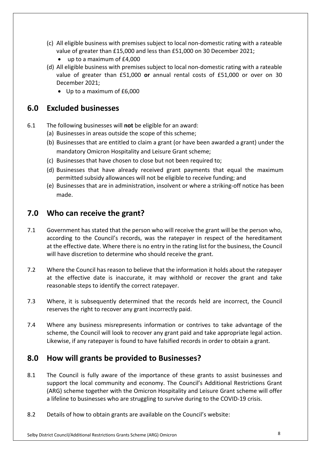- (c) All eligible business with premises subject to local non-domestic rating with a rateable value of greater than £15,000 and less than £51,000 on 30 December 2021;
	- up to a maximum of £4,000
- (d) All eligible business with premises subject to local non-domestic rating with a rateable value of greater than £51,000 **or** annual rental costs of £51,000 or over on 30 December 2021;
	- Up to a maximum of £6,000

## **6.0 Excluded businesses**

- 6.1 The following businesses will **not** be eligible for an award:
	- (a) Businesses in areas outside the scope of this scheme;
	- (b) Businesses that are entitled to claim a grant (or have been awarded a grant) under the mandatory Omicron Hospitality and Leisure Grant scheme;
	- (c) Businesses that have chosen to close but not been required to;
	- (d) Businesses that have already received grant payments that equal the maximum permitted subsidy allowances will not be eligible to receive funding; and
	- (e) Businesses that are in administration, insolvent or where a striking-off notice has been made.

## **7.0 Who can receive the grant?**

- 7.1 Government has stated that the person who will receive the grant will be the person who, according to the Council's records, was the ratepayer in respect of the hereditament at the effective date. Where there is no entry in the rating list for the business, the Council will have discretion to determine who should receive the grant.
- $7.2$  at the effective date is inaccurate, it may withhold or recover the grant and take reasonable steps to identify the correct ratepayer. 7.2 Where the Council has reason to believe that the information it holds about the ratepayer
- $7.3$  reserves the right to recover any grant incorrectly paid. Where, it is subsequently determined that the records held are incorrect, the Council
- $7.4$  scheme, the Council will look to recover any grant paid and take appropriate legal action. Likewise, if any ratepayer is found to have falsified records in order to obtain a grant. Where any business misrepresents information or contrives to take advantage of the

## **8.0 How will grants be provided to Businesses?**

- 8.1 support the local community and economy. The Council's Additional Restrictions Grant (ARG) scheme together with the Omicron Hospitality and Leisure Grant scheme will offer a lifeline to businesses who are struggling to survive during to the COVID-19 crisis. The Council is fully aware of the importance of these grants to assist businesses and
- $8.2$ Betails of how to obtain grants are available on the Council's website: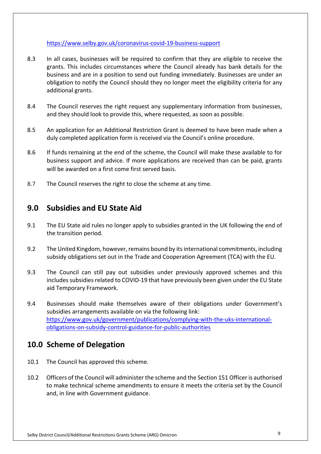#### https://www.selby.gov.uk/coronavirus-covid-19-business-support

- 8.3 grants. This includes circumstances where the Council already has bank details for the business and are in a position to send out funding immediately. Businesses are under an obligation to notify the Council should they no longer meet the eligibility criteria for any additional grants. In all cases, businesses will be required to confirm that they are eligible to receive the
- 8.4 and they should look to provide this, where requested, as soon as possible. The Council reserves the right request any supplementary information from businesses,
- 8.5 duly completed application form is received via the Council's online procedure. 8.5 An application for an Additional Restriction Grant is deemed to have been made when a
- 8.6 business support and advice. If more applications are received than can be paid, grants If funds remaining at the end of the scheme, the Council will make these available to for will be awarded on a first come first served basis.
- 8.7 The Council reserves the right to close the scheme at any time.

#### **9.0 Subsidies and EU State Aid**

- $9.1$ The EU State aid rules no longer apply to subsidies granted in the UK following the end of the transition period.
- $9.2$  subsidy obligations set out in the Trade and Cooperation Agreement (TCA) with the EU. 9.2 The United Kingdom, however, remains bound by its international commitments, including
- $9.3$  includes subsidies related to COVID-19 that have previously been given under the EU State The Council can still pay out subsidies under previously approved schemes and this aid Temporary Framework.
- 9.4 Businesses should make themselves aware of their obligations under Government's subsidies arrangements available on via the following link: <https://www.gov.uk/government/publications/complying-with-the-uks-international>obligations-on-subsidy-control-guidance-for-public-authorities

#### **10.0 Scheme of Delegation**

- 10.1 The Council has approved this scheme.
- $10.2$  to make technical scheme amendments to ensure it meets the criteria set by the Council and, in line with Government guidance. 10.2 Officers of the Council will administer the scheme and the Section 151 Officer is authorised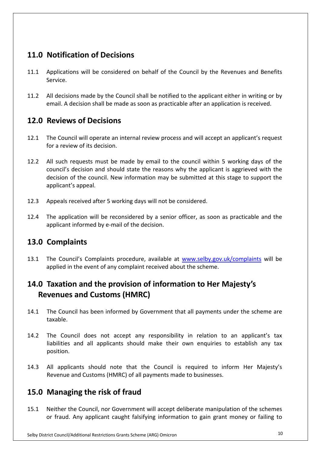# **11.0 Notification of Decisions**

- 11.1 Applications will be considered on behalf of the Council by the Revenues and Benefits Service.
- $11.2$  email. A decision shall be made as soon as practicable after an application is received. All decisions made by the Council shall be notified to the applicant either in writing or by

## **12.0 Reviews of Decisions**

- 12.1 The Council will operate an internal review process and will accept an applicant's request for a review of its decision.
- $12.2$  council's decision and should state the reasons why the applicant is aggrieved with the decision of the council. New information may be submitted at this stage to support the applicant's appeal. All such requests must be made by email to the council within 5 working days of the
- $12.3$ Appeals received after 5 working days will not be considered.
- $12.4$  applicant informed by e-mail of the decision. The application will be reconsidered by a senior officer, as soon as practicable and the

## **13.0 Complaints**

 $13.1$  applied in the event of any complaint received about the scheme. The Council's Complaints procedure, available at <www.selby.gov.uk/complaints>will be

# **14.0 Taxation and the provision of information to Her Majesty's Revenues and Customs (HMRC)**

- $14.1$ taxable. The Council has been informed by Government that all payments under the scheme are
- $14.2$  liabilities and all applicants should make their own enquiries to establish any tax The Council does not accept any responsibility in relation to an applicant's tax position.
- $14.3$  Revenue and Customs (HMRC) of all payments made to businesses. All applicants should note that the Council is required to inform Her Majesty's

## **15.0 Managing the risk of fraud**

 $15.1$  or fraud. Any applicant caught falsifying information to gain grant money or failing to Neither the Council, nor Government will accept deliberate manipulation of the schemes